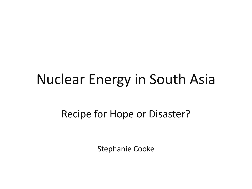### Nuclear Energy in South Asia

#### Recipe for Hope or Disaster?

Stephanie Cooke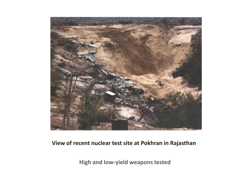

#### **View of recent nuclear test site at Pokhran in Rajasthan**

**High and low-yield weapons tested**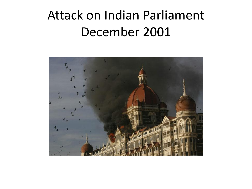#### Attack on Indian Parliament December 2001

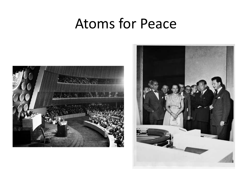#### Atoms for Peace



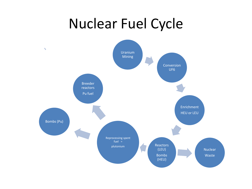### Nuclear Fuel Cycle

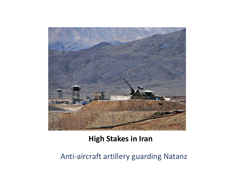

#### **High Stakes in Iran**

#### Anti-aircraft artillery guarding Natanz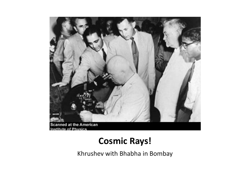

#### **Cosmic Rays!**

Khrushev with Bhabha in Bombay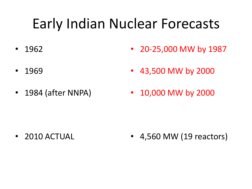# Early Indian Nuclear Forecasts

- 1962 • 20-25,000 MW by 1987
- 1969 • 43,500 MW by 2000
- 1984 (after NNPA)
- 
- 10,000 MW by 2000

• 2010 ACTUAL • 4,560 MW (19 reactors)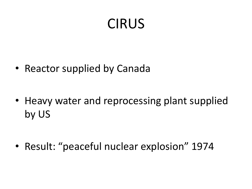# CIRUS

• Reactor supplied by Canada

• Heavy water and reprocessing plant supplied by US

• Result: "peaceful nuclear explosion" 1974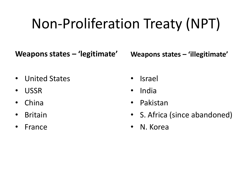# Non-Proliferation Treaty (NPT)

**Weapons states – 'legitimate'**

**Weapons states – 'illegitimate'**

- United States
- USSR
- China
- Britain
- France
- Israel
- India
- Pakistan
- S. Africa (since abandoned)
- N. Korea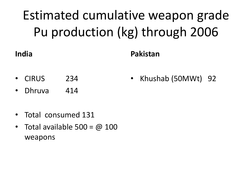# Estimated cumulative weapon grade Pu production (kg) through 2006

#### **India**

#### **Pakistan**

- CIRUS 234 • Khushab (50MWt) 92
- Dhruva 414
- Total consumed 131
- Total available  $500 = \omega$  100 weapons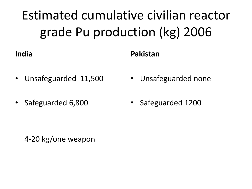# Estimated cumulative civilian reactor grade Pu production (kg) 2006

#### **India**

#### **Pakistan**

- Unsafeguarded 11,500
- Safeguarded 6,800
- Unsafeguarded none
- Safeguarded 1200

4-20 kg/one weapon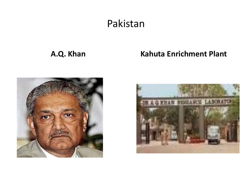#### Pakistan

#### **A.Q. Khan Kahuta Enrichment Plant**



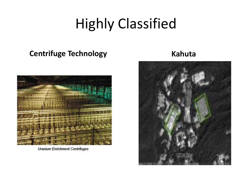# Highly Classified

#### **Centrifuge Technology Kahuta**



**Uranium Enrichment Centrifuges** 

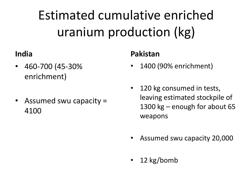# Estimated cumulative enriched uranium production (kg)

#### **India**

- 460-700 (45-30% enrichment)
- Assumed swu capacity = 4100

#### **Pakistan**

- 1400 (90% enrichment)
- 120 kg consumed in tests, leaving estimated stockpile of 1300 kg – enough for about 65 weapons
- Assumed swu capacity 20,000
- 12 kg/bomb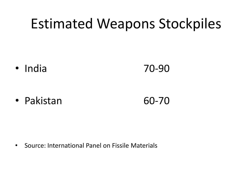### Estimated Weapons Stockpiles

• India 70-90

• Pakistan 60-70

• Source: International Panel on Fissile Materials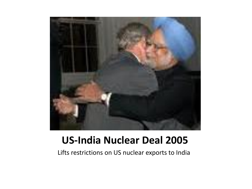

#### **US-India Nuclear Deal 2005**

Lifts restrictions on US nuclear exports to India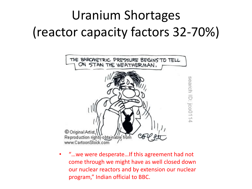# Uranium Shortages (reactor capacity factors 32-70%)



• "…we were desperate…If this agreement had not come through we might have as well closed down our nuclear reactors and by extension our nuclear program," Indian official to BBC.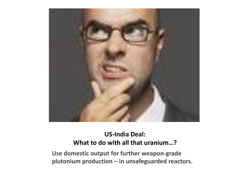

#### **US-India Deal: What to do with all that uranium…?**

**Use domestic output for further weapon-grade plutonium production – in unsafeguarded reactors.**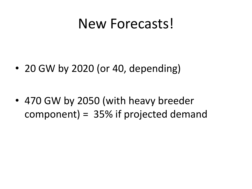#### New Forecasts!

• 20 GW by 2020 (or 40, depending)

• 470 GW by 2050 (with heavy breeder component) = 35% if projected demand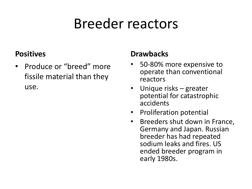### Breeder reactors

#### **Positives**

• Produce or "breed" more fissile material than they use.

#### **Drawbacks**

- 50-80% more expensive to operate than conventional reactors
- Unique risks greater potential for catastrophic accidents
- Proliferation potential
- Breeders shut down in France, Germany and Japan. Russian breeder has had repeated sodium leaks and fires. US ended breeder program in early 1980s.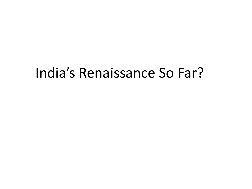#### India's Renaissance So Far?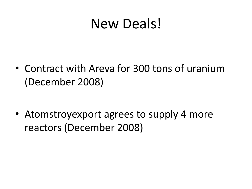### New Deals!

• Contract with Areva for 300 tons of uranium (December 2008)

• Atomstroyexport agrees to supply 4 more reactors (December 2008)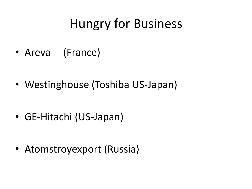### Hungry for Business

• Areva (France)

• Westinghouse (Toshiba US-Japan)

• GE-Hitachi (US-Japan)

• Atomstroyexport (Russia)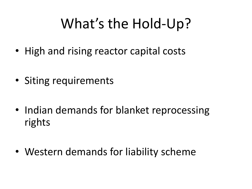# What's the Hold-Up?

- High and rising reactor capital costs
- Siting requirements
- Indian demands for blanket reprocessing rights
- Western demands for liability scheme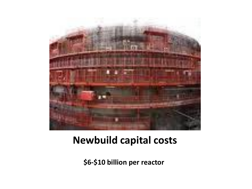

#### **Newbuild capital costs**

**\$6-\$10 billion per reactor**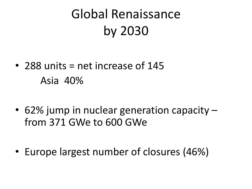# Global Renaissance by 2030

- 288 units  $=$  net increase of 145 Asia 40%
- 62% jump in nuclear generation capacity from 371 GWe to 600 GWe
- Europe largest number of closures (46%)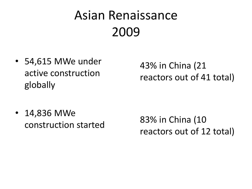# Asian Renaissance 2009

• 54,615 MWe under active construction globally

43% in China (21 reactors out of 41 total)

• 14,836 MWe construction started

83% in China (10 reactors out of 12 total)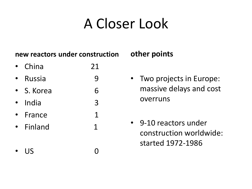# A Closer Look

#### **new reactors under construction**

- China 21
- Russia 9
- S. Korea 6
- India 3
- France 1
- Finland 1
- US 0

#### **other points**

- Two projects in Europe: massive delays and cost overruns
- 9-10 reactors under construction worldwide: started 1972-1986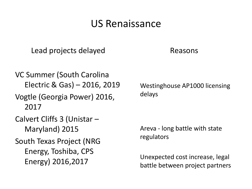#### US Renaissance

Lead projects delayed

Reasons

VC Summer (South Carolina Electric & Gas) – 2016, 2019

Vogtle (Georgia Power) 2016, 2017

Calvert Cliffs 3 (Unistar – Maryland) 2015

South Texas Project (NRG Energy, Toshiba, CPS Energy) 2016,2017

Westinghouse AP1000 licensing delays

Areva - long battle with state regulators

Unexpected cost increase, legal battle between project partners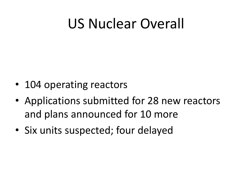### US Nuclear Overall

- 104 operating reactors
- Applications submitted for 28 new reactors and plans announced for 10 more
- Six units suspected; four delayed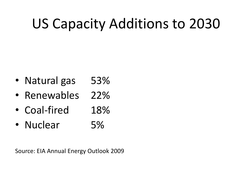# US Capacity Additions to 2030

- Natural gas 53%
- Renewables 22%
- Coal-fired 18%
- Nuclear 5%

Source: EIA Annual Energy Outlook 2009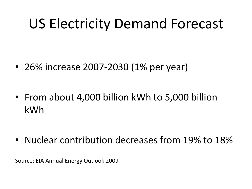# US Electricity Demand Forecast

- 26% increase 2007-2030 (1% per year)
- From about 4,000 billion kWh to 5,000 billion kWh

• Nuclear contribution decreases from 19% to 18%

Source: EIA Annual Energy Outlook 2009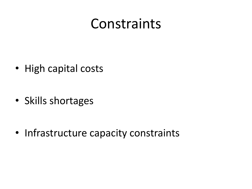### Constraints

• High capital costs

• Skills shortages

• Infrastructure capacity constraints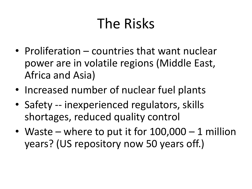# The Risks

- Proliferation countries that want nuclear power are in volatile regions (Middle East, Africa and Asia)
- Increased number of nuclear fuel plants
- Safety -- inexperienced regulators, skills shortages, reduced quality control
- Waste where to put it for  $100,000 1$  million years? (US repository now 50 years off.)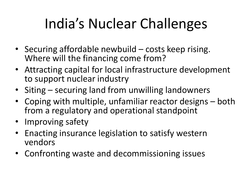# India's Nuclear Challenges

- Securing affordable newbuild costs keep rising. Where will the financing come from?
- Attracting capital for local infrastructure development to support nuclear industry
- Siting securing land from unwilling landowners
- Coping with multiple, unfamiliar reactor designs both from a regulatory and operational standpoint
- Improving safety
- Enacting insurance legislation to satisfy western vendors
- Confronting waste and decommissioning issues